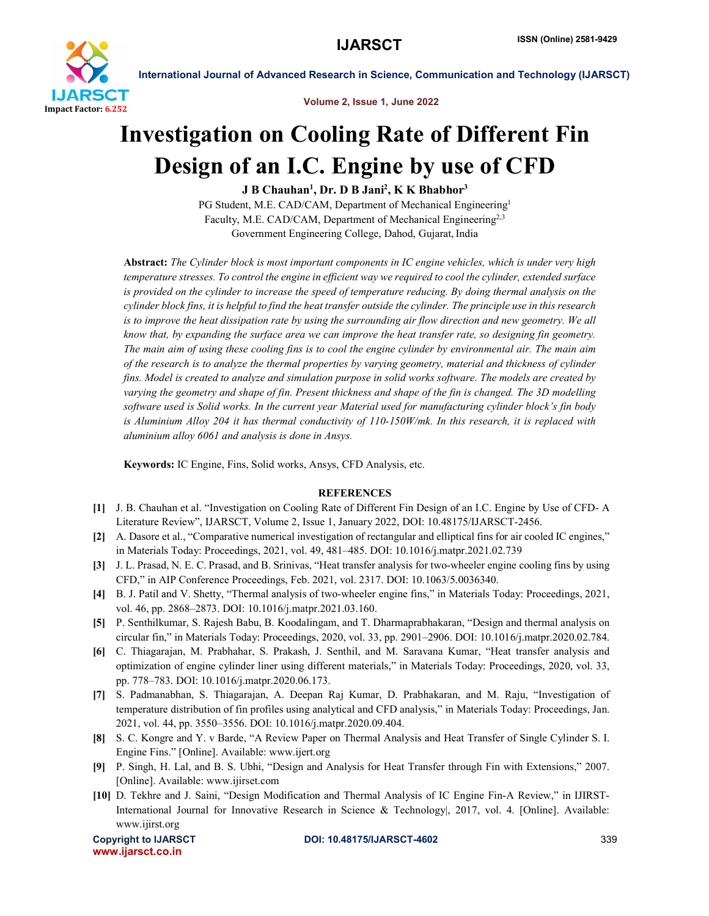

International Journal of Advanced Research in Science, Communication and Technology (IJARSCT)

Volume 2, Issue 1, June 2022

## Investigation on Cooling Rate of Different Fin Design of an I.C. Engine by use of CFD

J B Chauhan<sup>1</sup>, Dr. D B Jani<sup>2</sup>, K K Bhabhor<sup>3</sup>

PG Student, M.E. CAD/CAM, Department of Mechanical Engineering<sup>1</sup> Faculty, M.E. CAD/CAM, Department of Mechanical Engineering<sup>2,3</sup> Government Engineering College, Dahod, Gujarat, India

Abstract: *The Cylinder block is most important components in IC engine vehicles, which is under very high temperature stresses. To control the engine in efficient way we required to cool the cylinder, extended surface is provided on the cylinder to increase the speed of temperature reducing. By doing thermal analysis on the cylinder block fins, it is helpful to find the heat transfer outside the cylinder. The principle use in this research*  is to improve the heat dissipation rate by using the surrounding air flow direction and new geometry. We all *know that, by expanding the surface area we can improve the heat transfer rate, so designing fin geometry. The main aim of using these cooling fins is to cool the engine cylinder by environmental air. The main aim of the research is to analyze the thermal properties by varying geometry, material and thickness of cylinder fins. Model is created to analyze and simulation purpose in solid works software. The models are created by varying the geometry and shape of fin. Present thickness and shape of the fin is changed. The 3D modelling software used is Solid works. In the current year Material used for manufacturing cylinder block's fin body is Aluminium Alloy 204 it has thermal conductivity of 110-150W/mk. In this research, it is replaced with aluminium alloy 6061 and analysis is done in Ansys.*

Keywords: IC Engine, Fins, Solid works, Ansys, CFD Analysis, etc.

## **REFERENCES**

- [1] J. B. Chauhan et al. "Investigation on Cooling Rate of Different Fin Design of an I.C. Engine by Use of CFD- A Literature Review", IJARSCT, Volume 2, Issue 1, January 2022, DOI: 10.48175/IJARSCT-2456.
- [2] A. Dasore et al., "Comparative numerical investigation of rectangular and elliptical fins for air cooled IC engines," in Materials Today: Proceedings, 2021, vol. 49, 481–485. DOI: 10.1016/j.matpr.2021.02.739
- [3] J. L. Prasad, N. E. C. Prasad, and B. Srinivas, "Heat transfer analysis for two-wheeler engine cooling fins by using CFD," in AIP Conference Proceedings, Feb. 2021, vol. 2317. DOI: 10.1063/5.0036340.
- [4] B. J. Patil and V. Shetty, "Thermal analysis of two-wheeler engine fins," in Materials Today: Proceedings, 2021, vol. 46, pp. 2868–2873. DOI: 10.1016/j.matpr.2021.03.160.
- [5] P. Senthilkumar, S. Rajesh Babu, B. Koodalingam, and T. Dharmaprabhakaran, "Design and thermal analysis on circular fin," in Materials Today: Proceedings, 2020, vol. 33, pp. 2901–2906. DOI: 10.1016/j.matpr.2020.02.784.
- [6] C. Thiagarajan, M. Prabhahar, S. Prakash, J. Senthil, and M. Saravana Kumar, "Heat transfer analysis and optimization of engine cylinder liner using different materials," in Materials Today: Proceedings, 2020, vol. 33, pp. 778–783. DOI: 10.1016/j.matpr.2020.06.173.
- [7] S. Padmanabhan, S. Thiagarajan, A. Deepan Raj Kumar, D. Prabhakaran, and M. Raju, "Investigation of temperature distribution of fin profiles using analytical and CFD analysis," in Materials Today: Proceedings, Jan. 2021, vol. 44, pp. 3550–3556. DOI: 10.1016/j.matpr.2020.09.404.
- [8] S. C. Kongre and Y. v Barde, "A Review Paper on Thermal Analysis and Heat Transfer of Single Cylinder S. I. Engine Fins." [Online]. Available: www.ijert.org
- [9] P. Singh, H. Lal, and B. S. Ubhi, "Design and Analysis for Heat Transfer through Fin with Extensions," 2007. [Online]. Available: www.ijirset.com
- [10] D. Tekhre and J. Saini, "Design Modification and Thermal Analysis of IC Engine Fin-A Review," in IJIRST-International Journal for Innovative Research in Science & Technology|, 2017, vol. 4. [Online]. Available: www.ijirst.org

www.ijarsct.co.in